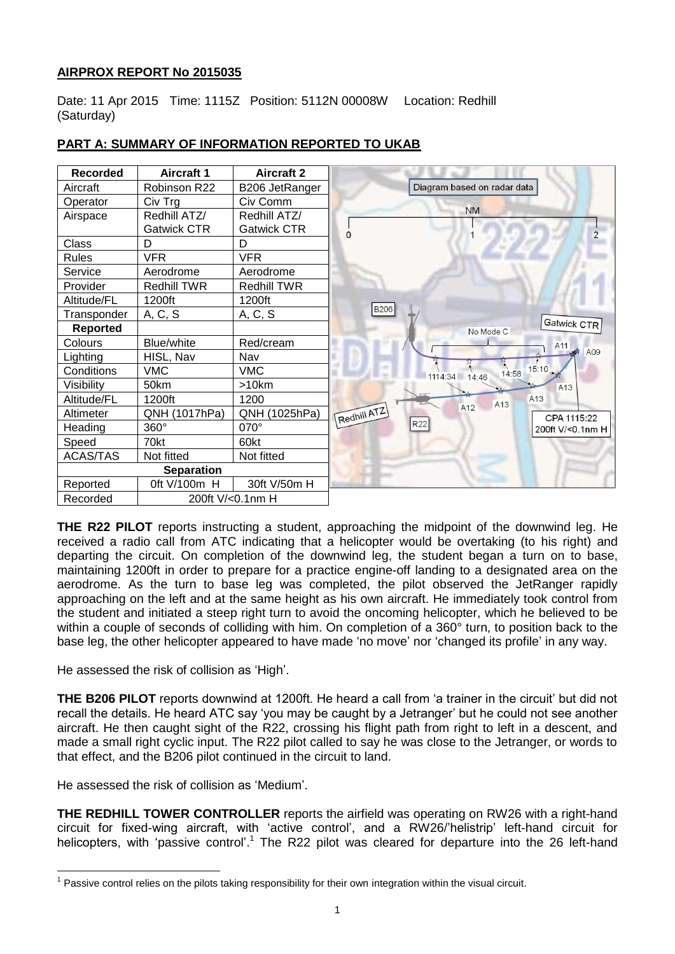# **AIRPROX REPORT No 2015035**

Date: 11 Apr 2015 Time: 1115Z Position: 5112N 00008W Location: Redhill (Saturday)



# **PART A: SUMMARY OF INFORMATION REPORTED TO UKAB**

**THE R22 PILOT** reports instructing a student, approaching the midpoint of the downwind leg. He received a radio call from ATC indicating that a helicopter would be overtaking (to his right) and departing the circuit. On completion of the downwind leg, the student began a turn on to base, maintaining 1200ft in order to prepare for a practice engine-off landing to a designated area on the aerodrome. As the turn to base leg was completed, the pilot observed the JetRanger rapidly approaching on the left and at the same height as his own aircraft. He immediately took control from the student and initiated a steep right turn to avoid the oncoming helicopter, which he believed to be within a couple of seconds of colliding with him. On completion of a 360° turn, to position back to the base leg, the other helicopter appeared to have made 'no move' nor 'changed its profile' in any way.

He assessed the risk of collision as 'High'.

**THE B206 PILOT** reports downwind at 1200ft. He heard a call from 'a trainer in the circuit' but did not recall the details. He heard ATC say 'you may be caught by a Jetranger' but he could not see another aircraft. He then caught sight of the R22, crossing his flight path from right to left in a descent, and made a small right cyclic input. The R22 pilot called to say he was close to the Jetranger, or words to that effect, and the B206 pilot continued in the circuit to land.

He assessed the risk of collision as 'Medium'.

**THE REDHILL TOWER CONTROLLER** reports the airfield was operating on RW26 with a right-hand circuit for fixed-wing aircraft, with 'active control', and a RW26/'helistrip' left-hand circuit for helicopters, with 'passive control'.<sup>1</sup> The R22 pilot was cleared for departure into the 26 left-hand

 $\overline{a}$ <sup>1</sup> Passive control relies on the pilots taking responsibility for their own integration within the visual circuit.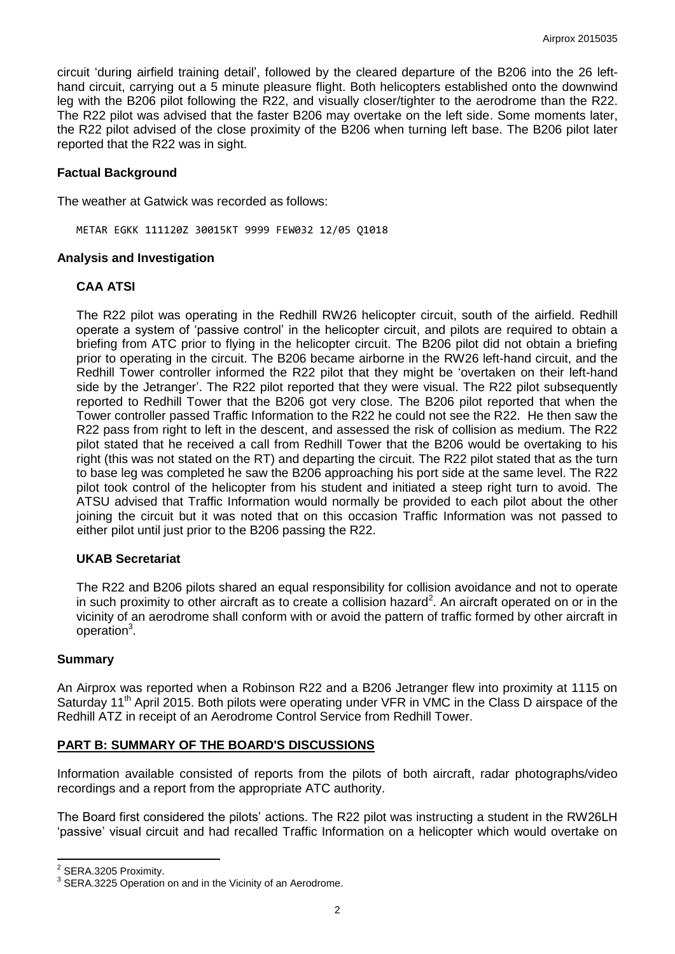circuit 'during airfield training detail', followed by the cleared departure of the B206 into the 26 lefthand circuit, carrying out a 5 minute pleasure flight. Both helicopters established onto the downwind leg with the B206 pilot following the R22, and visually closer/tighter to the aerodrome than the R22. The R22 pilot was advised that the faster B206 may overtake on the left side. Some moments later, the R22 pilot advised of the close proximity of the B206 when turning left base. The B206 pilot later reported that the R22 was in sight.

#### **Factual Background**

The weather at Gatwick was recorded as follows:

METAR EGKK 111120Z 30015KT 9999 FEW032 12/05 Q1018

#### **Analysis and Investigation**

## **CAA ATSI**

The R22 pilot was operating in the Redhill RW26 helicopter circuit, south of the airfield. Redhill operate a system of 'passive control' in the helicopter circuit, and pilots are required to obtain a briefing from ATC prior to flying in the helicopter circuit. The B206 pilot did not obtain a briefing prior to operating in the circuit. The B206 became airborne in the RW26 left-hand circuit, and the Redhill Tower controller informed the R22 pilot that they might be 'overtaken on their left-hand side by the Jetranger'. The R22 pilot reported that they were visual. The R22 pilot subsequently reported to Redhill Tower that the B206 got very close. The B206 pilot reported that when the Tower controller passed Traffic Information to the R22 he could not see the R22. He then saw the R22 pass from right to left in the descent, and assessed the risk of collision as medium. The R22 pilot stated that he received a call from Redhill Tower that the B206 would be overtaking to his right (this was not stated on the RT) and departing the circuit. The R22 pilot stated that as the turn to base leg was completed he saw the B206 approaching his port side at the same level. The R22 pilot took control of the helicopter from his student and initiated a steep right turn to avoid. The ATSU advised that Traffic Information would normally be provided to each pilot about the other joining the circuit but it was noted that on this occasion Traffic Information was not passed to either pilot until just prior to the B206 passing the R22.

## **UKAB Secretariat**

The R22 and B206 pilots shared an equal responsibility for collision avoidance and not to operate in such proximity to other aircraft as to create a collision hazard<sup>2</sup>. An aircraft operated on or in the vicinity of an aerodrome shall conform with or avoid the pattern of traffic formed by other aircraft in operation<sup>3</sup>.

#### **Summary**

An Airprox was reported when a Robinson R22 and a B206 Jetranger flew into proximity at 1115 on Saturday 11<sup>th</sup> April 2015. Both pilots were operating under VFR in VMC in the Class D airspace of the Redhill ATZ in receipt of an Aerodrome Control Service from Redhill Tower.

## **PART B: SUMMARY OF THE BOARD'S DISCUSSIONS**

Information available consisted of reports from the pilots of both aircraft, radar photographs/video recordings and a report from the appropriate ATC authority.

The Board first considered the pilots' actions. The R22 pilot was instructing a student in the RW26LH 'passive' visual circuit and had recalled Traffic Information on a helicopter which would overtake on

 2 SERA.3205 Proximity.

 $3$  SERA.3225 Operation on and in the Vicinity of an Aerodrome.